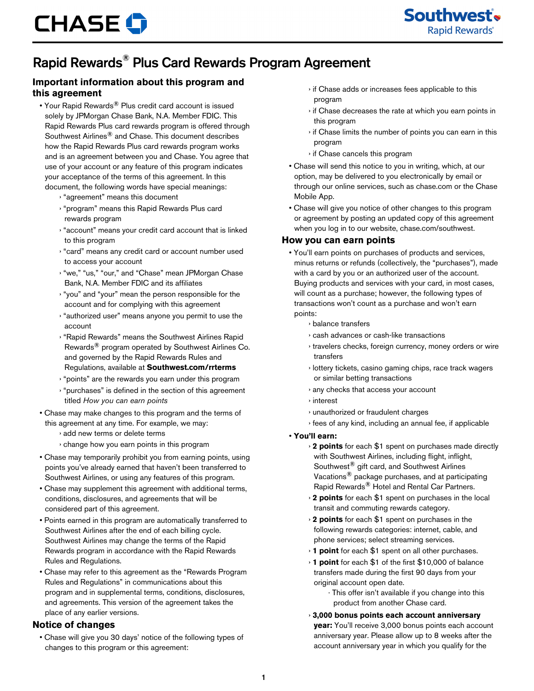

# Rapid Rewards® Plus Card Rewards Program Agreement

## **Important information about this program and this agreement**

- Your Rapid Rewards<sup>®</sup> Plus credit card account is issued solely by JPMorgan Chase Bank, N.A. Member FDIC. This Rapid Rewards Plus card rewards program is offered through Southwest Airlines® and Chase. This document describes how the Rapid Rewards Plus card rewards program works and is an agreement between you and Chase. You agree that use of your account or any feature of this program indicates your acceptance of the terms of this agreement. In this document, the following words have special meanings:
	- › "agreement" means this document
	- › "program" means this Rapid Rewards Plus card rewards program
	- › "account" means your credit card account that is linked to this program
	- › "card" means any credit card or account number used to access your account
	- › "we," "us," "our," and "Chase" mean JPMorgan Chase Bank, N.A. Member FDIC and its affiliates
	- › "you" and "your" mean the person responsible for the account and for complying with this agreement
	- › "authorized user" means anyone you permit to use the account
	- › "Rapid Rewards" means the Southwest Airlines Rapid Rewards® program operated by Southwest Airlines Co. and governed by the Rapid Rewards Rules and Regulations, available at **Southwest.com/rrterms**
	- › "points" are the rewards you earn under this program
	- › "purchases" is defined in the section of this agreement titled *How you can earn points*
- Chase may make changes to this program and the terms of this agreement at any time. For example, we may:
	- › add new terms or delete terms
	- › change how you earn points in this program
- Chase may temporarily prohibit you from earning points, using points you've already earned that haven't been transferred to Southwest Airlines, or using any features of this program.
- Chase may supplement this agreement with additional terms, conditions, disclosures, and agreements that will be considered part of this agreement.
- Points earned in this program are automatically transferred to Southwest Airlines after the end of each billing cycle. Southwest Airlines may change the terms of the Rapid Rewards program in accordance with the Rapid Rewards Rules and Regulations.
- Chase may refer to this agreement as the "Rewards Program Rules and Regulations" in communications about this program and in supplemental terms, conditions, disclosures, and agreements. This version of the agreement takes the place of any earlier versions.

#### **Notice of changes**

• Chase will give you 30 days' notice of the following types of changes to this program or this agreement:

- › if Chase adds or increases fees applicable to this program
- › if Chase decreases the rate at which you earn points in this program
- › if Chase limits the number of points you can earn in this program
- › if Chase cancels this program
- Chase will send this notice to you in writing, which, at our option, may be delivered to you electronically by email or through our online services, such as chase.com or the Chase Mobile App.
- Chase will give you notice of other changes to this program or agreement by posting an updated copy of this agreement when you log in to our website, chase.com/southwest.

#### **How you can earn points**

- You'll earn points on purchases of products and services, minus returns or refunds (collectively, the "purchases"), made with a card by you or an authorized user of the account. Buying products and services with your card, in most cases, will count as a purchase; however, the following types of transactions won't count as a purchase and won't earn points:
	- › balance transfers
	- › cash advances or cash-like transactions
	- › travelers checks, foreign currency, money orders or wire transfers
	- › lottery tickets, casino gaming chips, race track wagers or similar betting transactions
	- › any checks that access your account
	- › interest
	- › unauthorized or fraudulent charges
	- › fees of any kind, including an annual fee, if applicable
- **You'll earn:**
	- › **2 points** for each \$1 spent on purchases made directly with Southwest Airlines, including flight, inflight, Southwest® gift card, and Southwest Airlines Vacations® package purchases, and at participating Rapid Rewards® Hotel and Rental Car Partners.
	- › **2 points** for each \$1 spent on purchases in the local transit and commuting rewards category.
	- › **2 points** for each \$1 spent on purchases in the following rewards categories: internet, cable, and phone services; select streaming services.
	- › **1 point** for each \$1 spent on all other purchases.
	- › **1 point** for each \$1 of the first \$10,000 of balance transfers made during the first 90 days from your original account open date.
		- · This offer isn't available if you change into this product from another Chase card.
	- › **3,000 bonus points each account anniversary year:** You'll receive 3,000 bonus points each account
	- anniversary year. Please allow up to 8 weeks after the account anniversary year in which you qualify for the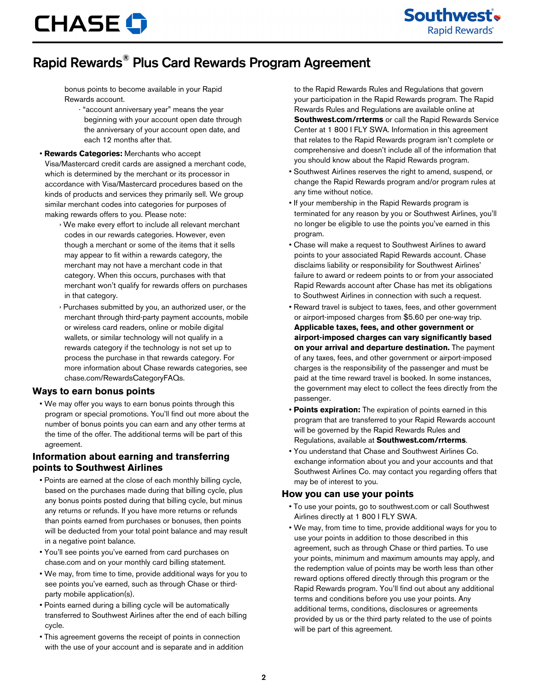# **CHASE O**

# Rapid Rewards® Plus Card Rewards Program Agreement

bonus points to become available in your Rapid Rewards account.

- · "account anniversary year" means the year beginning with your account open date through the anniversary of your account open date, and each 12 months after that.
- **Rewards Categories:** Merchants who accept

Visa/Mastercard credit cards are assigned a merchant code, which is determined by the merchant or its processor in accordance with Visa/Mastercard procedures based on the kinds of products and services they primarily sell. We group similar merchant codes into categories for purposes of making rewards offers to you. Please note:

- › We make every effort to include all relevant merchant codes in our rewards categories. However, even though a merchant or some of the items that it sells may appear to fit within a rewards category, the merchant may not have a merchant code in that category. When this occurs, purchases with that merchant won't qualify for rewards offers on purchases in that category.
- › Purchases submitted by you, an authorized user, or the merchant through third-party payment accounts, mobile or wireless card readers, online or mobile digital wallets, or similar technology will not qualify in a rewards category if the technology is not set up to process the purchase in that rewards category. For more information about Chase rewards categories, see chase.com/RewardsCategoryFAQs.

#### **Ways to earn bonus points**

• We may offer you ways to earn bonus points through this program or special promotions. You'll find out more about the number of bonus points you can earn and any other terms at the time of the offer. The additional terms will be part of this agreement.

### **Information about earning and transferring points to Southwest Airlines**

- Points are earned at the close of each monthly billing cycle, based on the purchases made during that billing cycle, plus any bonus points posted during that billing cycle, but minus any returns or refunds. If you have more returns or refunds than points earned from purchases or bonuses, then points will be deducted from your total point balance and may result in a negative point balance.
- You'll see points you've earned from card purchases on chase.com and on your monthly card billing statement.
- We may, from time to time, provide additional ways for you to see points you've earned, such as through Chase or thirdparty mobile application(s).
- Points earned during a billing cycle will be automatically transferred to Southwest Airlines after the end of each billing cycle.
- This agreement governs the receipt of points in connection with the use of your account and is separate and in addition

to the Rapid Rewards Rules and Regulations that govern your participation in the Rapid Rewards program. The Rapid Rewards Rules and Regulations are available online at **Southwest.com/rrterms** or call the Rapid Rewards Service Center at 1 800 I FLY SWA. Information in this agreement that relates to the Rapid Rewards program isn't complete or comprehensive and doesn't include all of the information that you should know about the Rapid Rewards program.

- Southwest Airlines reserves the right to amend, suspend, or change the Rapid Rewards program and/or program rules at any time without notice.
- If your membership in the Rapid Rewards program is terminated for any reason by you or Southwest Airlines, you'll no longer be eligible to use the points you've earned in this program.
- Chase will make a request to Southwest Airlines to award points to your associated Rapid Rewards account. Chase disclaims liability or responsibility for Southwest Airlines' failure to award or redeem points to or from your associated Rapid Rewards account after Chase has met its obligations to Southwest Airlines in connection with such a request.
- Reward travel is subject to taxes, fees, and other government or airport-imposed charges from \$5.60 per one-way trip. **Applicable taxes, fees, and other government or airport-imposed charges can vary significantly based on your arrival and departure destination.** The payment of any taxes, fees, and other government or airport-imposed charges is the responsibility of the passenger and must be paid at the time reward travel is booked. In some instances, the government may elect to collect the fees directly from the passenger.
- **Points expiration:** The expiration of points earned in this program that are transferred to your Rapid Rewards account will be governed by the Rapid Rewards Rules and Regulations, available at **Southwest.com/rrterms**.
- You understand that Chase and Southwest Airlines Co. exchange information about you and your accounts and that Southwest Airlines Co. may contact you regarding offers that may be of interest to you.

#### **How you can use your points**

- To use your points, go to southwest.com or call Southwest Airlines directly at 1 800 I FLY SWA.
- We may, from time to time, provide additional ways for you to use your points in addition to those described in this agreement, such as through Chase or third parties. To use your points, minimum and maximum amounts may apply, and the redemption value of points may be worth less than other reward options offered directly through this program or the Rapid Rewards program. You'll find out about any additional terms and conditions before you use your points. Any additional terms, conditions, disclosures or agreements provided by us or the third party related to the use of points will be part of this agreement.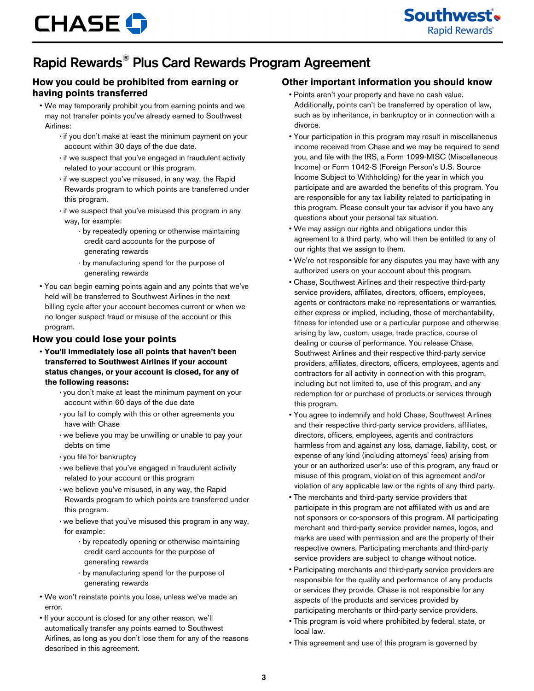# Rapid Rewards® Plus Card Rewards Program Agreement

## **How you could be prohibited from earning or having points transferred**

- We may temporarily prohibit you from earning points and we may not transfer points you've already earned to Southwest Airlines:
	- › if you don't make at least the minimum payment on your account within 30 days of the due date.
	- › if we suspect that you've engaged in fraudulent activity related to your account or this program.
	- › if we suspect you've misused, in any way, the Rapid Rewards program to which points are transferred under this program.
	- › if we suspect that you've misused this program in any way, for example:
		- · by repeatedly opening or otherwise maintaining credit card accounts for the purpose of generating rewards
		- · by manufacturing spend for the purpose of generating rewards
- You can begin earning points again and any points that we've held will be transferred to Southwest Airlines in the next billing cycle after your account becomes current or when we no longer suspect fraud or misuse of the account or this program.

#### **How you could lose your points**

- **You'll immediately lose all points that haven't been transferred to Southwest Airlines if your account status changes, or your account is closed, for any of the following reasons:**
	- › you don't make at least the minimum payment on your account within 60 days of the due date
	- › you fail to comply with this or other agreements you have with Chase
	- › we believe you may be unwilling or unable to pay your debts on time
	- › you file for bankruptcy
	- › we believe that you've engaged in fraudulent activity related to your account or this program
	- › we believe you've misused, in any way, the Rapid Rewards program to which points are transferred under this program.
	- › we believe that you've misused this program in any way, for example:
		- · by repeatedly opening or otherwise maintaining credit card accounts for the purpose of generating rewards
		- · by manufacturing spend for the purpose of generating rewards
- We won't reinstate points you lose, unless we've made an error.
- If your account is closed for any other reason, we'll automatically transfer any points earned to Southwest Airlines, as long as you don't lose them for any of the reasons described in this agreement.

# **Other important information you should know**

- Points aren't your property and have no cash value. Additionally, points can't be transferred by operation of law, such as by inheritance, in bankruptcy or in connection with a divorce.
- Your participation in this program may result in miscellaneous income received from Chase and we may be required to send you, and file with the IRS, a Form 1099-MISC (Miscellaneous Income) or Form 1042-S (Foreign Person's U.S. Source Income Subject to Withholding) for the year in which you participate and are awarded the benefits of this program. You are responsible for any tax liability related to participating in this program. Please consult your tax advisor if you have any questions about your personal tax situation.
- We may assign our rights and obligations under this agreement to a third party, who will then be entitled to any of our rights that we assign to them.
- We're not responsible for any disputes you may have with any authorized users on your account about this program.
- Chase, Southwest Airlines and their respective third-party service providers, affiliates, directors, officers, employees, agents or contractors make no representations or warranties, either express or implied, including, those of merchantability, fitness for intended use or a particular purpose and otherwise arising by law, custom, usage, trade practice, course of dealing or course of performance. You release Chase, Southwest Airlines and their respective third-party service providers, affiliates, directors, officers, employees, agents and contractors for all activity in connection with this program, including but not limited to, use of this program, and any redemption for or purchase of products or services through this program.
- You agree to indemnify and hold Chase, Southwest Airlines and their respective third-party service providers, affiliates, directors, officers, employees, agents and contractors harmless from and against any loss, damage, liability, cost, or expense of any kind (including attorneys' fees) arising from your or an authorized user's: use of this program, any fraud or misuse of this program, violation of this agreement and/or violation of any applicable law or the rights of any third party.
- The merchants and third-party service providers that participate in this program are not affiliated with us and are not sponsors or co-sponsors of this program. All participating merchant and third-party service provider names, logos, and marks are used with permission and are the property of their respective owners. Participating merchants and third-party service providers are subject to change without notice.
- Participating merchants and third-party service providers are responsible for the quality and performance of any products or services they provide. Chase is not responsible for any aspects of the products and services provided by participating merchants or third-party service providers.
- This program is void where prohibited by federal, state, or local law.
- This agreement and use of this program is governed by